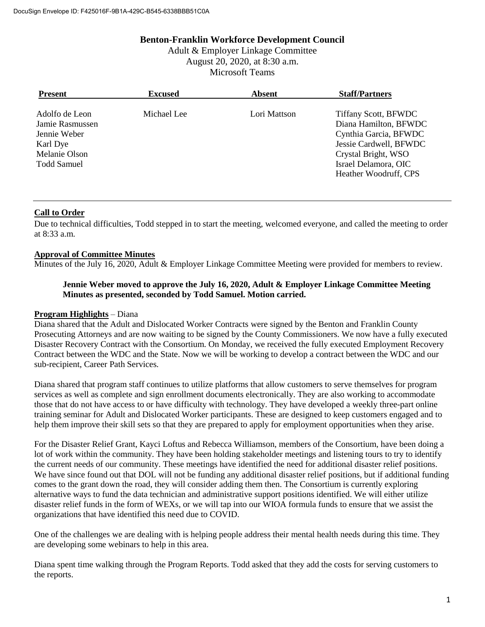### **Benton-Franklin Workforce Development Council**

Adult & Employer Linkage Committee August 20, 2020, at 8:30 a.m. Microsoft Teams

| <b>Present</b>                                                                                | <b>Excused</b> | <b>Absent</b> | <b>Staff/Partners</b>                                                                                                                                                           |
|-----------------------------------------------------------------------------------------------|----------------|---------------|---------------------------------------------------------------------------------------------------------------------------------------------------------------------------------|
| Adolfo de Leon<br>Jamie Rasmussen<br>Jennie Weber<br>Karl Dye<br>Melanie Olson<br>Todd Samuel | Michael Lee    | Lori Mattson  | <b>Tiffany Scott, BFWDC</b><br>Diana Hamilton, BFWDC<br>Cynthia Garcia, BFWDC<br>Jessie Cardwell, BFWDC<br>Crystal Bright, WSO<br>Israel Delamora, OIC<br>Heather Woodruff, CPS |
|                                                                                               |                |               |                                                                                                                                                                                 |

## **Call to Order**

Due to technical difficulties, Todd stepped in to start the meeting, welcomed everyone, and called the meeting to order at 8:33 a.m.

# **Approval of Committee Minutes**

Minutes of the July 16, 2020, Adult & Employer Linkage Committee Meeting were provided for members to review.

#### **Jennie Weber moved to approve the July 16, 2020, Adult & Employer Linkage Committee Meeting Minutes as presented, seconded by Todd Samuel. Motion carried.**

#### **Program Highlights** – Diana

Diana shared that the Adult and Dislocated Worker Contracts were signed by the Benton and Franklin County Prosecuting Attorneys and are now waiting to be signed by the County Commissioners. We now have a fully executed Disaster Recovery Contract with the Consortium. On Monday, we received the fully executed Employment Recovery Contract between the WDC and the State. Now we will be working to develop a contract between the WDC and our sub-recipient, Career Path Services.

Diana shared that program staff continues to utilize platforms that allow customers to serve themselves for program services as well as complete and sign enrollment documents electronically. They are also working to accommodate those that do not have access to or have difficulty with technology. They have developed a weekly three-part online training seminar for Adult and Dislocated Worker participants. These are designed to keep customers engaged and to help them improve their skill sets so that they are prepared to apply for employment opportunities when they arise.

For the Disaster Relief Grant, Kayci Loftus and Rebecca Williamson, members of the Consortium, have been doing a lot of work within the community. They have been holding stakeholder meetings and listening tours to try to identify the current needs of our community. These meetings have identified the need for additional disaster relief positions. We have since found out that DOL will not be funding any additional disaster relief positions, but if additional funding comes to the grant down the road, they will consider adding them then. The Consortium is currently exploring alternative ways to fund the data technician and administrative support positions identified. We will either utilize disaster relief funds in the form of WEXs, or we will tap into our WIOA formula funds to ensure that we assist the organizations that have identified this need due to COVID.

One of the challenges we are dealing with is helping people address their mental health needs during this time. They are developing some webinars to help in this area.

Diana spent time walking through the Program Reports. Todd asked that they add the costs for serving customers to the reports.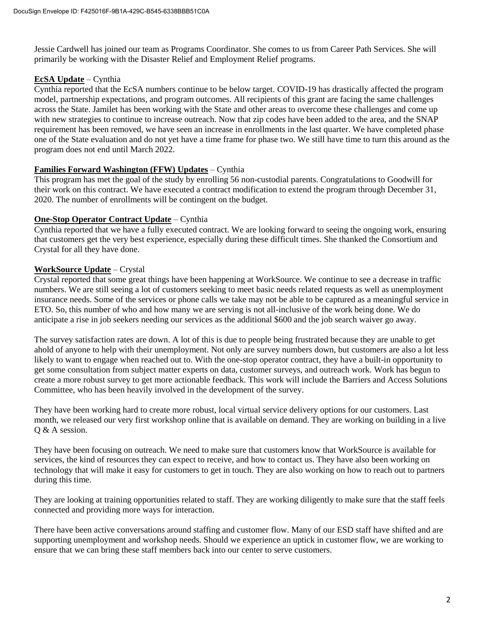Jessie Cardwell has joined our team as Programs Coordinator. She comes to us from Career Path Services. She will primarily be working with the Disaster Relief and Employment Relief programs.

### **EcSA Update** – Cynthia

Cynthia reported that the EcSA numbers continue to be below target. COVID-19 has drastically affected the program model, partnership expectations, and program outcomes. All recipients of this grant are facing the same challenges across the State. Jamilet has been working with the State and other areas to overcome these challenges and come up with new strategies to continue to increase outreach. Now that zip codes have been added to the area, and the SNAP requirement has been removed, we have seen an increase in enrollments in the last quarter. We have completed phase one of the State evaluation and do not yet have a time frame for phase two. We still have time to turn this around as the program does not end until March 2022.

### **Families Forward Washington (FFW) Updates** – Cynthia

This program has met the goal of the study by enrolling 56 non-custodial parents. Congratulations to Goodwill for their work on this contract. We have executed a contract modification to extend the program through December 31, 2020. The number of enrollments will be contingent on the budget.

### **One-Stop Operator Contract Update** – Cynthia

Cynthia reported that we have a fully executed contract. We are looking forward to seeing the ongoing work, ensuring that customers get the very best experience, especially during these difficult times. She thanked the Consortium and Crystal for all they have done.

## **WorkSource Update** – Crystal

Crystal reported that some great things have been happening at WorkSource. We continue to see a decrease in traffic numbers. We are still seeing a lot of customers seeking to meet basic needs related requests as well as unemployment insurance needs. Some of the services or phone calls we take may not be able to be captured as a meaningful service in ETO. So, this number of who and how many we are serving is not all-inclusive of the work being done. We do anticipate a rise in job seekers needing our services as the additional \$600 and the job search waiver go away.

The survey satisfaction rates are down. A lot of this is due to people being frustrated because they are unable to get ahold of anyone to help with their unemployment. Not only are survey numbers down, but customers are also a lot less likely to want to engage when reached out to. With the one-stop operator contract, they have a built-in opportunity to get some consultation from subject matter experts on data, customer surveys, and outreach work. Work has begun to create a more robust survey to get more actionable feedback. This work will include the Barriers and Access Solutions Committee, who has been heavily involved in the development of the survey.

They have been working hard to create more robust, local virtual service delivery options for our customers. Last month, we released our very first workshop online that is available on demand. They are working on building in a live Q & A session.

They have been focusing on outreach. We need to make sure that customers know that WorkSource is available for services, the kind of resources they can expect to receive, and how to contact us. They have also been working on technology that will make it easy for customers to get in touch. They are also working on how to reach out to partners during this time.

They are looking at training opportunities related to staff. They are working diligently to make sure that the staff feels connected and providing more ways for interaction.

There have been active conversations around staffing and customer flow. Many of our ESD staff have shifted and are supporting unemployment and workshop needs. Should we experience an uptick in customer flow, we are working to ensure that we can bring these staff members back into our center to serve customers.